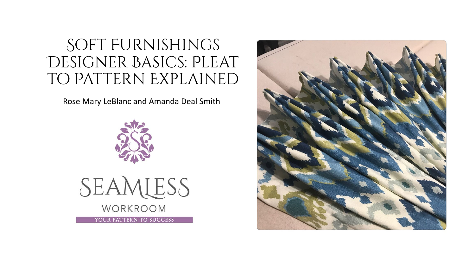## Soft Furnishings DESIGNER BASICS: PLEAT to Pattern Explained

Rose Mary LeBlanc and Amanda Deal Smith





YOUR PATTERN TO SUCCESS

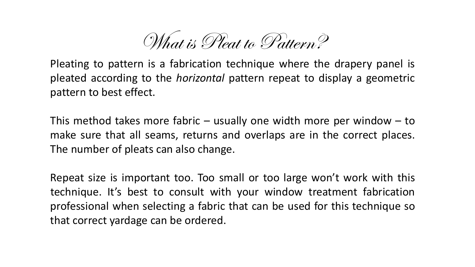What is Pleat to Pattern?

Pleating to pattern is a fabrication technique where the drapery panel is pleated according to the *horizontal* pattern repeat to display a geometric pattern to best effect.

This method takes more fabric  $-$  usually one width more per window  $-$  to make sure that all seams, returns and overlaps are in the correct places. The number of pleats can also change.

Repeat size is important too. Too small or too large won't work with this technique. It's best to consult with your window treatment fabrication professional when selecting a fabric that can be used for this technique so that correct yardage can be ordered.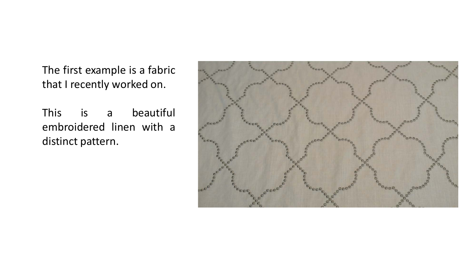The first example is a fabric that I recently worked on.

This is a beautiful embroidered linen with a distinct pattern.

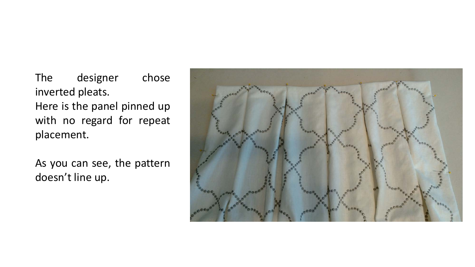The designer chose inverted pleats. Here is the panel pinned up with no regard for repeat placement.

As you can see, the pattern doesn't line up.

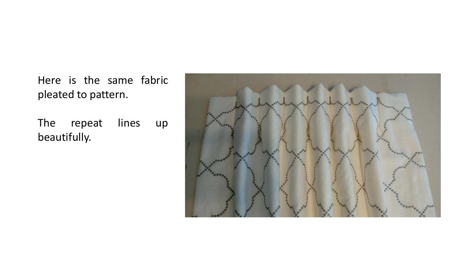Here is the same fabric pleated to pattern.

The repeat lines up beautifully.

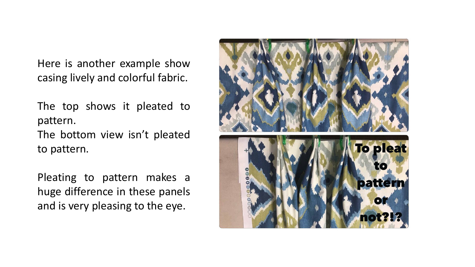Here is another example show casing lively and colorful fabric.

The top shows it pleated to pattern.

The bottom view isn't pleated to pattern.

Pleating to pattern makes a huge difference in these panels and is very pleasing to the eye.

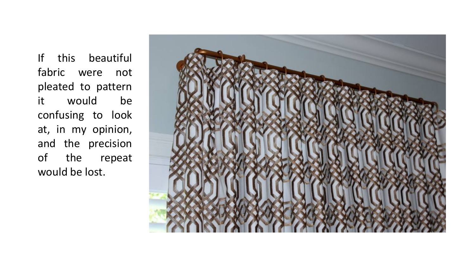If this beautiful fabric were not pleated to pattern it would be confusing to look at, in my opinion, and the precision of the repeat would be lost.